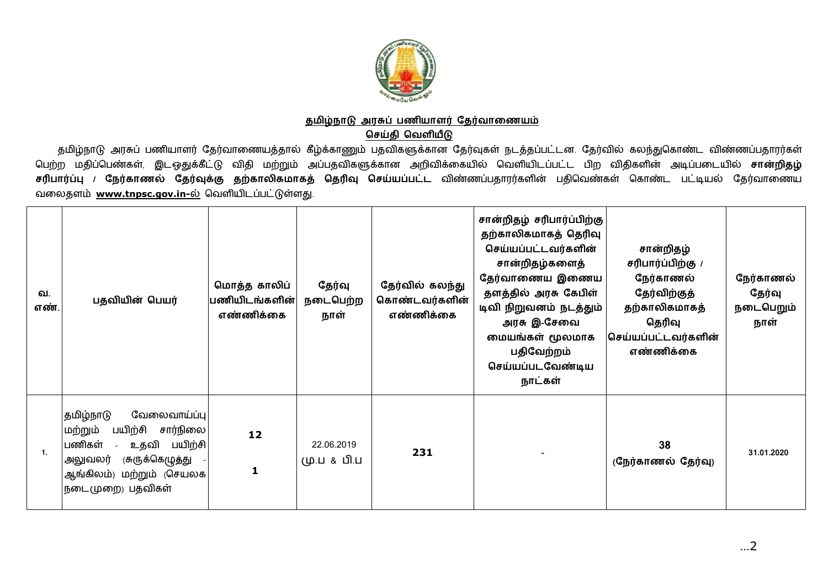

## தமிழ்நாடு அரசுப் பணியாளர் தேர்வாணையம் **ெசதி ெவளய**

தமிழ்நாடு அரசுப் பணியாளர் தேர்வாணையத்தால் கீழ்க்காணும் பதவிகளுக்கான தேர்வுகள் நடத்தப்பட்டன. தேர்வில் கலந்துகொண்ட விண்ணப்பதாரர்கள் பெற்ற மதிப்பெண்கள், இடஒதுக்கீட்டு விதி மற்றும் அப்பதவிகளுக்கான அறிவிக்கையில் வெளியிடப்பட்ட பிற விதிகளின் அடிப்படையில் **சான்றிதழ்** <mark>சரிபார்ப்பு / நேர்காணல் தேர்வுக்கு தற்காலிகமாகத் தெரிவு செய்யப்பட்ட விண்ணப்பதாரர்களின் பதிவெண்கள் கொண்ட பட்டியல் தேர்வாணைய</mark> வலைதளம் www.tnpsc.gov.in-ல் வெளியிடப்பட்டுள்ளது.

| வ.<br>எண். | பதவியின் பெயர்                                                                                                                                                        | மொத்த காலிப்<br>பணியிடங்களின் <br>எண்ணிக்கை | தேர்வு<br>நடைபெற்ற<br>நாள் | தேர்வில் கலந்து<br>கொண்டவர்களின்<br>எண்ணிக்கை | சான்றிதழ் சரிபார்ப்பிற்கு<br>தற்காலிகமாகத் தெரிவு<br>செய்யப்பட்டவர்களின்<br>சான்றிதழ்களைத்<br>தேர்வாணைய இணைய<br>தளத்தில் அரசு கேபிள்<br>டிவி நிறுவனம் நடத்தும்<br>அரசு இ-சேவை<br>மையங்கள் மூலமாக<br>பதிவேற்றம்<br>செய்யப்படவேண்டிய<br>நாட்கள் | சான்றிதழ்<br>சரிபார்ப்பிற்கு /<br>நேர்காணல்<br>தேர்விற்குத்<br>தற்காலிகமாகத்<br>தெரிவு<br>செய்யப்பட்டவர்களின்<br>எண்ணிக்கை | நேர்காணல்<br>தேர்வு<br>நடைபெறும்<br>நாள் |
|------------|-----------------------------------------------------------------------------------------------------------------------------------------------------------------------|---------------------------------------------|----------------------------|-----------------------------------------------|-----------------------------------------------------------------------------------------------------------------------------------------------------------------------------------------------------------------------------------------------|----------------------------------------------------------------------------------------------------------------------------|------------------------------------------|
|            | வேலைவாய்ப்பு<br> தமிழ்நாடு<br>பயிற்சி<br>சார்நிலை<br>மற்றும்<br>பணிகள்<br>உதவி பயிற்சி<br>(சுருக்கெழுத்து<br>அலுவலர்<br>ஆங்கிலம்) மற்றும் (செயலக<br> நடைமுறை) பதவிகள் | 12<br>1                                     | 22.06.2019<br>மு.ப & பி.ப  | 231                                           |                                                                                                                                                                                                                                               | 38<br>(நேர்காணல் தேர்வு)                                                                                                   | 31.01.2020                               |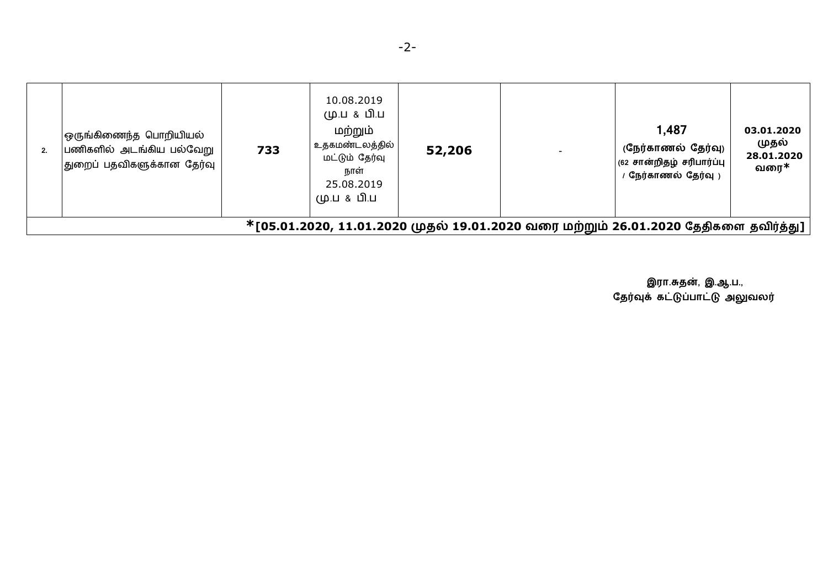|                                                                                     | ஒருங்கிணைந்த பொறியியல்<br>பணிகளில் அடங்கிய பல்வேறு<br>துறைப் பதவிகளுக்கான தேர்வு | 733 | 10.08.2019<br>மு.ப & பி.ப<br>மற்றும்<br>உதகமண்டலத்தில்  <br>மட்டும் தேர்வு<br>நாள்<br>25.08.2019<br>மு.ப & பி.ப | 52,206 |  | 1,487<br>(நேர்காணல் தேர்வு)<br>(62 சான்றிதழ் சரிபார்ப்பு<br>' நேர்காணல் தேர்வு ) | 03.01.2020<br>முதல்<br>28.01.2020<br>வரை $\ast$ |
|-------------------------------------------------------------------------------------|----------------------------------------------------------------------------------|-----|-----------------------------------------------------------------------------------------------------------------|--------|--|----------------------------------------------------------------------------------|-------------------------------------------------|
| *[05.01.2020, 11.01.2020 முதல் 19.01.2020 வரை மற்றும் 26.01.2020 தேதிகளை தவிர்த்து] |                                                                                  |     |                                                                                                                 |        |  |                                                                                  |                                                 |

இரா.சுதன், இ.ஆ.ப.,<br>தேர்வுக் கட்டுப்பாட்டு அலுவலர்